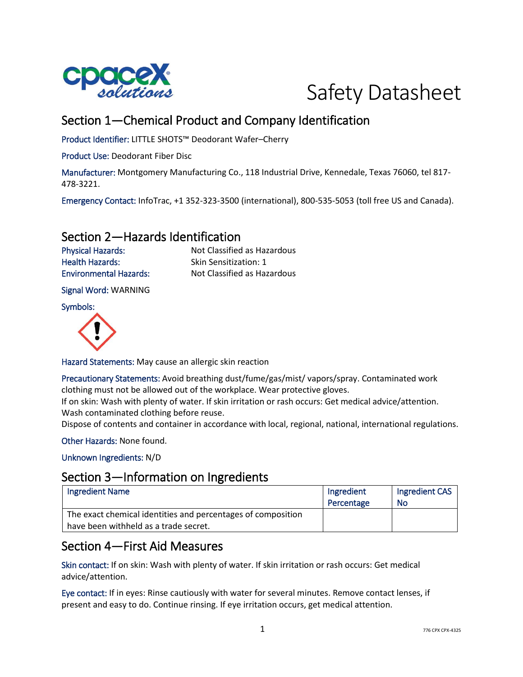



# Section 1—Chemical Product and Company Identification

Product Identifier: LITTLE SHOTS™ Deodorant Wafer–Cherry

Product Use: Deodorant Fiber Disc

Manufacturer: Montgomery Manufacturing Co., 118 Industrial Drive, Kennedale, Texas 76060, tel 817- 478-3221.

Emergency Contact: InfoTrac, +1 352-323-3500 (international), 800-535-5053 (toll free US and Canada).

### Section 2—Hazards Identification

Health Hazards: Skin Sensitization: 1

Physical Hazards: Not Classified as Hazardous Environmental Hazards: Not Classified as Hazardous

Signal Word: WARNING

Symbols:



Hazard Statements: May cause an allergic skin reaction

Precautionary Statements: Avoid breathing dust/fume/gas/mist/ vapors/spray. Contaminated work clothing must not be allowed out of the workplace. Wear protective gloves.

If on skin: Wash with plenty of water. If skin irritation or rash occurs: Get medical advice/attention. Wash contaminated clothing before reuse.

Dispose of contents and container in accordance with local, regional, national, international regulations.

Other Hazards: None found.

Unknown Ingredients: N/D

### Section 3—Information on Ingredients

| <b>Ingredient Name</b>                                       | Ingredient | Ingredient CAS |
|--------------------------------------------------------------|------------|----------------|
|                                                              | Percentage | No             |
| The exact chemical identities and percentages of composition |            |                |
| have been withheld as a trade secret.                        |            |                |

## Section 4—First Aid Measures

Skin contact: If on skin: Wash with plenty of water. If skin irritation or rash occurs: Get medical advice/attention.

Eye contact: If in eyes: Rinse cautiously with water for several minutes. Remove contact lenses, if present and easy to do. Continue rinsing. If eye irritation occurs, get medical attention.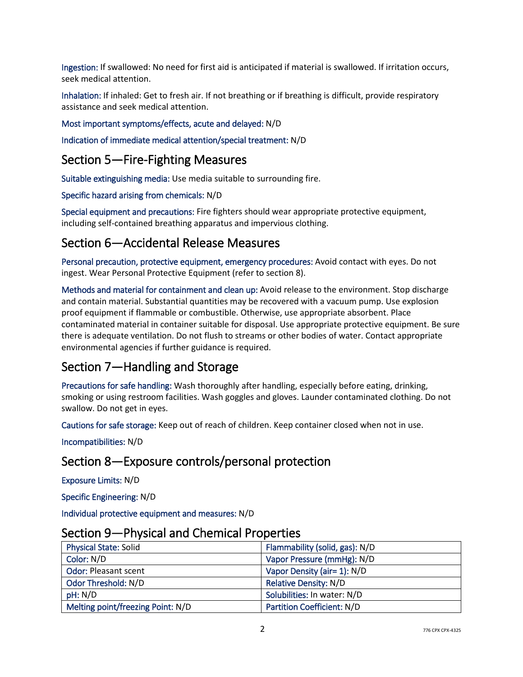Ingestion: If swallowed: No need for first aid is anticipated if material is swallowed. If irritation occurs, seek medical attention.

Inhalation: If inhaled: Get to fresh air. If not breathing or if breathing is difficult, provide respiratory assistance and seek medical attention.

#### Most important symptoms/effects, acute and delayed: N/D

Indication of immediate medical attention/special treatment: N/D

## Section 5—Fire-Fighting Measures

Suitable extinguishing media: Use media suitable to surrounding fire.

Specific hazard arising from chemicals: N/D

Special equipment and precautions: Fire fighters should wear appropriate protective equipment, including self-contained breathing apparatus and impervious clothing.

## Section 6—Accidental Release Measures

Personal precaution, protective equipment, emergency procedures: Avoid contact with eyes. Do not ingest. Wear Personal Protective Equipment (refer to section 8).

Methods and material for containment and clean up: Avoid release to the environment. Stop discharge and contain material. Substantial quantities may be recovered with a vacuum pump. Use explosion proof equipment if flammable or combustible. Otherwise, use appropriate absorbent. Place contaminated material in container suitable for disposal. Use appropriate protective equipment. Be sure there is adequate ventilation. Do not flush to streams or other bodies of water. Contact appropriate environmental agencies if further guidance is required.

## Section 7—Handling and Storage

Precautions for safe handling: Wash thoroughly after handling, especially before eating, drinking, smoking or using restroom facilities. Wash goggles and gloves. Launder contaminated clothing. Do not swallow. Do not get in eyes.

Cautions for safe storage: Keep out of reach of children. Keep container closed when not in use.

Incompatibilities: N/D

## Section 8—Exposure controls/personal protection

Exposure Limits: N/D

Specific Engineering: N/D

Individual protective equipment and measures: N/D

| <u>Jechon Jean Hilysical and Chemical Hopernes</u> |                                   |
|----------------------------------------------------|-----------------------------------|
| <b>Physical State: Solid</b>                       | Flammability (solid, gas): N/D    |
| Color: N/D                                         | Vapor Pressure (mmHg): N/D        |
| <b>Odor: Pleasant scent</b>                        | Vapor Density (air= 1): N/D       |
| Odor Threshold: N/D                                | <b>Relative Density: N/D</b>      |
| pH: N/D                                            | Solubilities: In water: N/D       |
| Melting point/freezing Point: N/D                  | <b>Partition Coefficient: N/D</b> |

### Section 9—Physical and Chemical Properties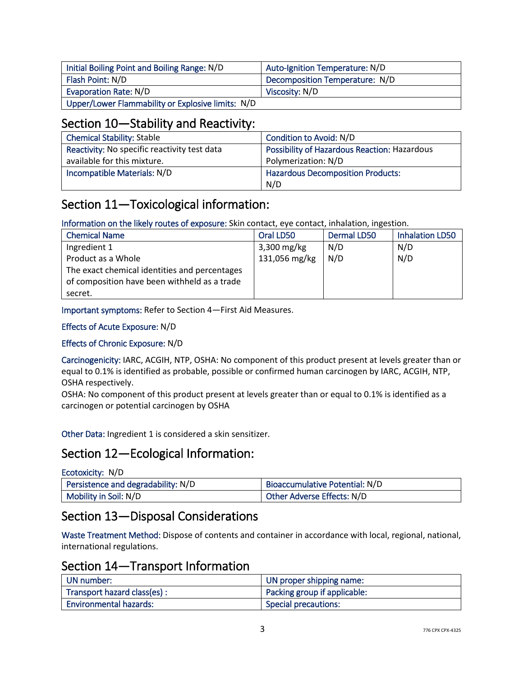| Initial Boiling Point and Boiling Range: N/D      | Auto-Ignition Temperature: N/D |
|---------------------------------------------------|--------------------------------|
| Flash Point: N/D                                  | Decomposition Temperature: N/D |
| Evaporation Rate: N/D                             | Viscosity: N/D                 |
| Upper/Lower Flammability or Explosive limits: N/D |                                |

## Section 10—Stability and Reactivity:

| <b>Chemical Stability: Stable</b>            | Condition to Avoid: N/D                      |
|----------------------------------------------|----------------------------------------------|
| Reactivity: No specific reactivity test data | Possibility of Hazardous Reaction: Hazardous |
| available for this mixture.                  | Polymerization: N/D                          |
| Incompatible Materials: N/D                  | <b>Hazardous Decomposition Products:</b>     |
|                                              | N/D                                          |

# Section 11—Toxicological information:

Information on the likely routes of exposure: Skin contact, eye contact, inhalation, ingestion.

| <b>Chemical Name</b>                          | Oral LD50     | <b>Dermal LD50</b> | <b>Inhalation LD50</b> |
|-----------------------------------------------|---------------|--------------------|------------------------|
| Ingredient 1                                  | $3,300$ mg/kg | N/D                | N/D                    |
| Product as a Whole                            | 131,056 mg/kg | N/D                | N/D                    |
| The exact chemical identities and percentages |               |                    |                        |
| of composition have been withheld as a trade  |               |                    |                        |
| secret.                                       |               |                    |                        |

Important symptoms: Refer to Section 4—First Aid Measures.

#### Effects of Acute Exposure: N/D

#### Effects of Chronic Exposure: N/D

Carcinogenicity: IARC, ACGIH, NTP, OSHA: No component of this product present at levels greater than or equal to 0.1% is identified as probable, possible or confirmed human carcinogen by IARC, ACGIH, NTP, OSHA respectively.

OSHA: No component of this product present at levels greater than or equal to 0.1% is identified as a carcinogen or potential carcinogen by OSHA

Other Data: Ingredient 1 is considered a skin sensitizer.

## Section 12—Ecological Information:

| Ecotoxicity: N/D                   |                                |
|------------------------------------|--------------------------------|
| Persistence and degradability: N/D | Bioaccumulative Potential: N/D |
| Mobility in Soil: N/D              | Other Adverse Effects: N/D     |

## Section 13—Disposal Considerations

Waste Treatment Method: Dispose of contents and container in accordance with local, regional, national, international regulations.

## Section 14—Transport Information

| UN number:                    | UN proper shipping name:     |
|-------------------------------|------------------------------|
| Transport hazard class(es):   | Packing group if applicable: |
| <b>Environmental hazards:</b> | <b>Special precautions:</b>  |